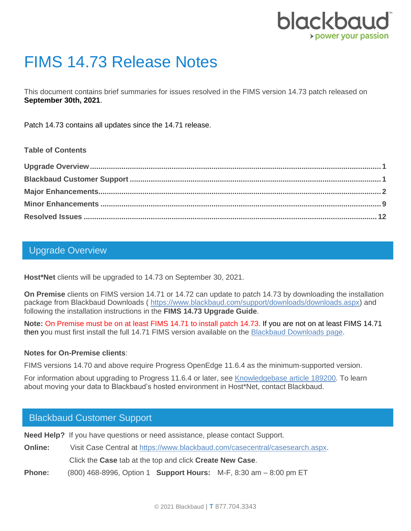

# FIMS 14.73 Release Notes

This document contains brief summaries for issues resolved in the FIMS version 14.73 patch released on **September 30th, 2021**.

Patch 14.73 contains all updates since the 14.71 release.

#### **Table of Contents**

## <span id="page-0-0"></span>Upgrade Overview

**Host\*Net** clients will be upgraded to 14.73 on September 30, 2021.

**On Premise** clients on FIMS version 14.71 or 14.72 can update to patch 14.73 by downloading the installation package from Blackbaud Downloads ( [https://www.blackbaud.com/support/downloads/downloads.aspx\)](https://www.blackbaud.com/support/downloads/downloads.aspx) and following the installation instructions in the **FIMS 14.73 Upgrade Guide**.

**Note:** On Premise must be on at least FIMS 14.71 to install patch 14.73. If you are not on at least FIMS 14.71 then you must first install the full 14.71 FIMS version available on the [Blackbaud Downloads](https://www.blackbaud.com/support/downloads/downloads.aspx) page.

#### **Notes for On-Premise clients**:

FIMS versions 14.70 and above require Progress OpenEdge 11.6.4 as the minimum-supported version.

For information about upgrading to Progress 11.6.4 or later, see [Knowledgebase article 189200.](https://kb.blackbaud.com/articles/Article/189200) To learn about moving your data to Blackbaud's hosted environment in Host\*Net, contact Blackbaud.

### <span id="page-0-1"></span>Blackbaud Customer Support

**Need Help?** If you have questions or need assistance, please contact Support.

**Online:** Visit Case Central at [https://www.blackbaud.com/casecentral/casesearch.aspx.](https://www.blackbaud.com/casecentral/casesearch.aspx) Click the **Case** tab at the top and click **Create New Case**. **Phone:** (800) 468-8996, Option 1 **Support Hours:** M-F, 8:30 am – 8:00 pm ET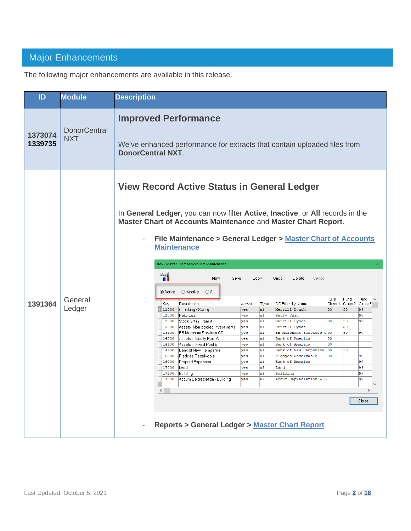# <span id="page-1-0"></span>Major Enhancements

The following major enhancements are available in this release.

| ID                 | <b>Module</b>                     | <b>Description</b>                                                                                                                                                                                                                                                                                                                                                                                                                                                                                                                                                                                                                                                                                                                                                                                                                                                                                                                                                                                                                                                                                                                                                                                                                                                                                                                                                                                                                                                                                                                                                                                                                                              |  |  |  |  |  |
|--------------------|-----------------------------------|-----------------------------------------------------------------------------------------------------------------------------------------------------------------------------------------------------------------------------------------------------------------------------------------------------------------------------------------------------------------------------------------------------------------------------------------------------------------------------------------------------------------------------------------------------------------------------------------------------------------------------------------------------------------------------------------------------------------------------------------------------------------------------------------------------------------------------------------------------------------------------------------------------------------------------------------------------------------------------------------------------------------------------------------------------------------------------------------------------------------------------------------------------------------------------------------------------------------------------------------------------------------------------------------------------------------------------------------------------------------------------------------------------------------------------------------------------------------------------------------------------------------------------------------------------------------------------------------------------------------------------------------------------------------|--|--|--|--|--|
| 1373074<br>1339735 | <b>DonorCentral</b><br><b>NXT</b> | <b>Improved Performance</b><br>We've enhanced performance for extracts that contain uploaded files from<br><b>DonorCentral NXT.</b>                                                                                                                                                                                                                                                                                                                                                                                                                                                                                                                                                                                                                                                                                                                                                                                                                                                                                                                                                                                                                                                                                                                                                                                                                                                                                                                                                                                                                                                                                                                             |  |  |  |  |  |
| 1391364            | General<br>Ledger                 | <b>View Record Active Status in General Ledger</b><br>In General Ledger, you can now filter Active, Inactive, or All records in the<br>Master Chart of Accounts Maintenance and Master Chart Report.<br>File Maintenance > General Ledger > Master Chart of Accounts<br><b>Maintenance</b><br>FIMS - Master Chart of Accounts Maintenance<br>×<br><u>ଲ</u><br>New<br>Save<br>Copy<br>Undo<br>Delete<br>Cancel<br>O Inactive<br>◉ Active<br>$O$ All<br>Fund<br>Fund<br>Fund<br>$\wedge$<br>Class 1 Class 2 Class 3<br>Description<br>DC Friendly Name<br>Key<br>Active<br>Type<br> 11000 <br>Checking - Sweep<br>Merrill Lynch<br>loo<br>50<br>99<br>yes<br>a1<br>99<br>12000<br>Petty Cash<br>a1<br>Petty Cash<br>yes<br>99<br>12500<br>Stock Gift in Transit<br>a1<br>Merrill Lynch<br>00<br>50<br>yes<br>50<br>13000<br>Assets-Non-pooled Investments<br>a1<br>Merrill Lynch<br>yes<br><b>BB Merchant Services CC</b><br>50<br>13100<br>a1<br>BB Merchant Services COO<br>99<br>yes<br>Assets in Equity Pool A<br>14000<br>a1<br>Bank of America<br>юo<br>yes<br>14100<br>Assets in Fixed Pool B<br>00<br>a1<br>Bank of America<br>yes<br>14200<br>Bank of New Hampshire<br>a1<br>Bank of New Hampshire 00<br>50<br>yes<br>15000<br>Pledges Receivable<br>a1<br>Pledges Receivable<br>99<br>yes<br>loo<br>Prepaid Expenses<br>a1<br>Bank of America<br>99<br>16000<br>yes<br>99<br>17000<br>Land<br>yes<br>a3<br>Land<br>a3<br>99<br>17200<br>Building<br>Building<br>yes<br>17300<br>Accum.Depreciation - Building<br>a2<br>99<br>Accum.Depreciation - B<br>yes<br>$\leq$<br>$\,>\,$<br>Close<br><b>Reports &gt; General Ledger &gt; Master Chart Report</b> |  |  |  |  |  |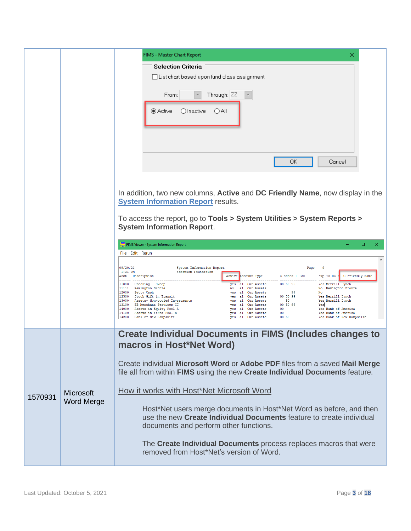|         |                                       | FIMS - Master Chart Report<br>×<br><b>Selection Criteria</b><br>$\Box$ List chart based upon fund class assignment<br>Through: ZZ<br>From:<br>$\bigcirc$ Inactive<br>● Active<br>OAII<br>ОΚ<br>Cancel                                                                                                                                                                                                                                                                                                                                                                                                                                                                                                                                                                                                                                                                                                                                                                                                                                                                               |
|---------|---------------------------------------|-------------------------------------------------------------------------------------------------------------------------------------------------------------------------------------------------------------------------------------------------------------------------------------------------------------------------------------------------------------------------------------------------------------------------------------------------------------------------------------------------------------------------------------------------------------------------------------------------------------------------------------------------------------------------------------------------------------------------------------------------------------------------------------------------------------------------------------------------------------------------------------------------------------------------------------------------------------------------------------------------------------------------------------------------------------------------------------|
|         |                                       | In addition, two new columns, <b>Active</b> and <b>DC Friendly Name</b> , now display in the<br><b>System Information Report results.</b><br>To access the report, go to Tools > System Utilities > System Reports ><br><b>System Information Report.</b><br>FIMS Viewer - System Information Report<br>$\Box$<br>×.<br>File Edit Rerun<br>$\wedge$<br>09/20/21<br>System Information Report<br>Page 9<br>1:31 PM<br>Scorpion Foundation<br>Active Account Type Classes 1-120 Exp To DC / DC Friendly Name<br>Acct Description<br>yes al Cur Assets 00 50 99 1 Cur Assets 10 0 50 99 1 Cur Assets 10 0 50 99 1 No Remington Bronze<br>yes al Cur Assets 10 99 1 No Remington Bronze<br>yes al Cur Assets 10 99 1 No Nemington Bronze<br>yes al Cur Assets 10 99 1 Nest<br>11000 Checking - Sweep<br>11111 Remington Bronze<br>12000 Petty Cash<br>12500 Stock Gift in Transit<br>13000 Assets- Non-pooled Investments<br>13100 BB Merchant Services CC<br>14000 Assets in Equity Pool A<br>14100 Assets in Fixed Pool B<br>Yes Bank of New Hampshire<br>14200 Bank of New Hampshire |
| 1570931 | <b>Microsoft</b><br><b>Word Merge</b> | <b>Create Individual Documents in FIMS (Includes changes to</b><br>macros in Host*Net Word)<br>Create individual Microsoft Word or Adobe PDF files from a saved Mail Merge<br>file all from within FIMS using the new Create Individual Documents feature.<br>How it works with Host*Net Microsoft Word<br>Host*Net users merge documents in Host*Net Word as before, and then<br>use the new Create Individual Documents feature to create individual<br>documents and perform other functions.<br>The Create Individual Documents process replaces macros that were<br>removed from Host*Net's version of Word.                                                                                                                                                                                                                                                                                                                                                                                                                                                                   |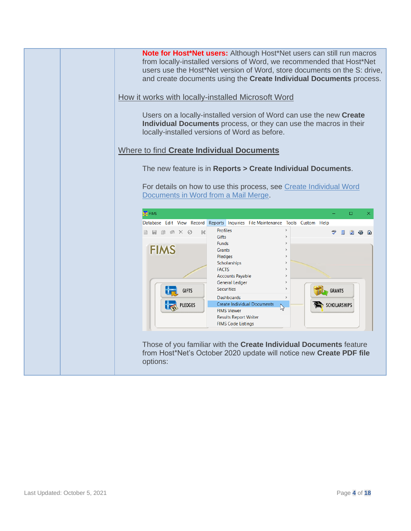| Note for Host*Net users: Although Host*Net users can still run macros<br>from locally-installed versions of Word, we recommended that Host*Net<br>users use the Host*Net version of Word, store documents on the S: drive,<br>and create documents using the Create Individual Documents process. |
|---------------------------------------------------------------------------------------------------------------------------------------------------------------------------------------------------------------------------------------------------------------------------------------------------|
| How it works with locally-installed Microsoft Word                                                                                                                                                                                                                                                |
| Users on a locally-installed version of Word can use the new Create<br>Individual Documents process, or they can use the macros in their<br>locally-installed versions of Word as before.                                                                                                         |
| Where to find Create Individual Documents                                                                                                                                                                                                                                                         |
| The new feature is in Reports > Create Individual Documents.                                                                                                                                                                                                                                      |
| For details on how to use this process, see Create Individual Word<br>Documents in Word from a Mail Merge.<br>FIMS<br>$\Box$<br>Database Edit View Record Reports Inquiries File Maintenance Tools Custom Help                                                                                    |
| $\,$<br>Profiles<br>$B$ $B$ $B$ $A$ $X$ $Q$<br>к                                                                                                                                                                                                                                                  |
| <b>Gifts</b><br><b>Funds</b>                                                                                                                                                                                                                                                                      |
| <b>FIMS</b><br>Grants                                                                                                                                                                                                                                                                             |
| Pledges<br>$\rightarrow$<br>Scholarships<br>$\rightarrow$                                                                                                                                                                                                                                         |
| <b>FACTS</b><br>$\rightarrow$                                                                                                                                                                                                                                                                     |
| <b>Accounts Payable</b><br>$\rightarrow$<br>General Ledger<br>$\rightarrow$                                                                                                                                                                                                                       |
| <b>Securities</b><br>$\rightarrow$<br><b>GIFTS</b><br><b>GRANTS</b>                                                                                                                                                                                                                               |
| <b>Dashboards</b><br>$\,$<br><b>Create Individual Documents</b><br>PLEDGES<br><b>SCHOLARSHIPS</b><br>r,                                                                                                                                                                                           |
| <b>FIMS Viewer</b><br><b>Results Report Writer</b>                                                                                                                                                                                                                                                |
| <b>FIMS Code Listings</b>                                                                                                                                                                                                                                                                         |
|                                                                                                                                                                                                                                                                                                   |
| Those of you familiar with the Create Individual Documents feature<br>from Host*Net's October 2020 update will notice new Create PDF file                                                                                                                                                         |
| options:                                                                                                                                                                                                                                                                                          |
|                                                                                                                                                                                                                                                                                                   |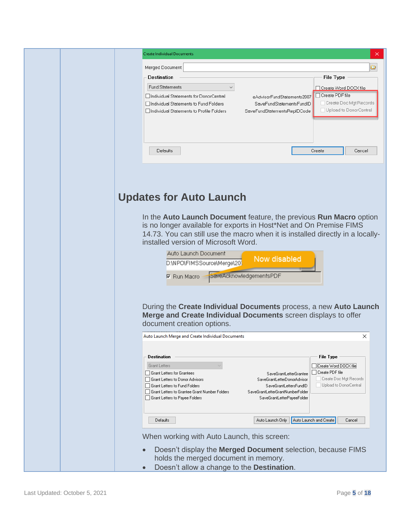| <b>Create Individual Documents</b>                                                                                                     | ×                                                                                                                                                                                                                                                                                                                                                                                                            |
|----------------------------------------------------------------------------------------------------------------------------------------|--------------------------------------------------------------------------------------------------------------------------------------------------------------------------------------------------------------------------------------------------------------------------------------------------------------------------------------------------------------------------------------------------------------|
|                                                                                                                                        |                                                                                                                                                                                                                                                                                                                                                                                                              |
| Merged Document:                                                                                                                       | o                                                                                                                                                                                                                                                                                                                                                                                                            |
| <b>Destination</b>                                                                                                                     | <b>File Type</b>                                                                                                                                                                                                                                                                                                                                                                                             |
| <b>Fund Statements</b>                                                                                                                 | □ Create Word DOCX file<br>Create PDF file                                                                                                                                                                                                                                                                                                                                                                   |
| Individual Statements for DonorCentral<br>Individual Statements to Fund Folders                                                        | eAdvisorFundStatements2007<br>Create Doc Mgt Records<br>SaveFundStatementsFundID                                                                                                                                                                                                                                                                                                                             |
| □ Individual Statements to Profile Folders                                                                                             | □ Upload to DonorCentral<br>SaveFundStatementsRepIDCode                                                                                                                                                                                                                                                                                                                                                      |
|                                                                                                                                        |                                                                                                                                                                                                                                                                                                                                                                                                              |
|                                                                                                                                        |                                                                                                                                                                                                                                                                                                                                                                                                              |
|                                                                                                                                        | Create                                                                                                                                                                                                                                                                                                                                                                                                       |
| <b>Defaults</b>                                                                                                                        | Cancel                                                                                                                                                                                                                                                                                                                                                                                                       |
| installed version of Microsoft Word.<br>Auto Launch Document<br>D.\NPO\FIMSSource\Merge\201<br>Run Macro<br>document creation options. | In the Auto Launch Document feature, the previous Run Macro option<br>is no longer available for exports in Host*Net and On Premise FIMS<br>14.73. You can still use the macro when it is installed directly in a locally-<br>Now disabled<br>SaveAcknowledgementsPDF<br>During the Create Individual Documents process, a new Auto Launch<br>Merge and Create Individual Documents screen displays to offer |
| Auto Launch Merge and Create Individual Documents                                                                                      | ×                                                                                                                                                                                                                                                                                                                                                                                                            |
|                                                                                                                                        |                                                                                                                                                                                                                                                                                                                                                                                                              |
| <b>Destination</b>                                                                                                                     | <b>File Type</b>                                                                                                                                                                                                                                                                                                                                                                                             |
| Grant Letters                                                                                                                          | Create Word DOCX file                                                                                                                                                                                                                                                                                                                                                                                        |
| Grant Letters for Grantees<br>Grant Letters to Donor Advisors                                                                          | Create PDF file<br>SaveGrantLetterGrantee<br>Create Doc Mgt Records<br>SaveGrantLetterDonorAdvisor                                                                                                                                                                                                                                                                                                           |
| Grant Letters to Fund Folders                                                                                                          | Upload to DonorCentral<br>SaveGrantLettersFundID                                                                                                                                                                                                                                                                                                                                                             |
| Grant Letters to Grantee Grant Number Folders<br>Grant Letters to Payee Folders                                                        | SaveGrantLetterGrantNumberFolder<br>SaveGrantLetterPayeeFolder                                                                                                                                                                                                                                                                                                                                               |
|                                                                                                                                        |                                                                                                                                                                                                                                                                                                                                                                                                              |
| Defaults                                                                                                                               | Auto Launch Only<br>Auto Launch and Create<br>Cancel                                                                                                                                                                                                                                                                                                                                                         |
|                                                                                                                                        |                                                                                                                                                                                                                                                                                                                                                                                                              |
| When working with Auto Launch, this screen:                                                                                            |                                                                                                                                                                                                                                                                                                                                                                                                              |
|                                                                                                                                        | Doesn't display the Merged Document selection, because FIMS                                                                                                                                                                                                                                                                                                                                                  |
| holds the merged document in memory.<br>Doesn't allow a change to the <b>Destination</b> .                                             |                                                                                                                                                                                                                                                                                                                                                                                                              |
|                                                                                                                                        |                                                                                                                                                                                                                                                                                                                                                                                                              |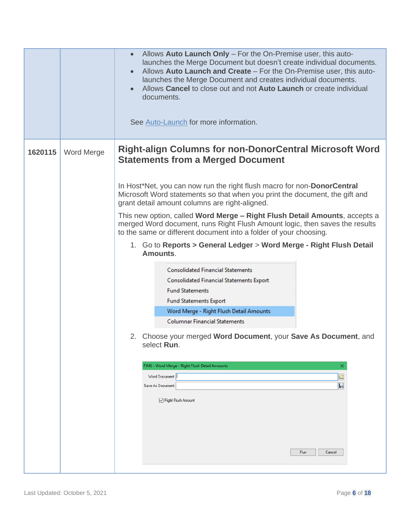|         |                   | Allows Auto Launch Only - For the On-Premise user, this auto-<br>launches the Merge Document but doesn't create individual documents.<br>Allows Auto Launch and Create - For the On-Premise user, this auto-<br>launches the Merge Document and creates individual documents.<br>Allows Cancel to close out and not Auto Launch or create individual<br>documents.<br>See Auto-Launch for more information. |  |  |  |  |
|---------|-------------------|-------------------------------------------------------------------------------------------------------------------------------------------------------------------------------------------------------------------------------------------------------------------------------------------------------------------------------------------------------------------------------------------------------------|--|--|--|--|
| 1620115 | <b>Word Merge</b> | <b>Right-align Columns for non-DonorCentral Microsoft Word</b><br><b>Statements from a Merged Document</b>                                                                                                                                                                                                                                                                                                  |  |  |  |  |
|         |                   | In Host*Net, you can now run the right flush macro for non-DonorCentral<br>Microsoft Word statements so that when you print the document, the gift and<br>grant detail amount columns are right-aligned.                                                                                                                                                                                                    |  |  |  |  |
|         |                   | This new option, called Word Merge - Right Flush Detail Amounts, accepts a<br>merged Word document, runs Right Flush Amount logic, then saves the results<br>to the same or different document into a folder of your choosing.                                                                                                                                                                              |  |  |  |  |
|         |                   | 1. Go to Reports > General Ledger > Word Merge - Right Flush Detail<br>Amounts.                                                                                                                                                                                                                                                                                                                             |  |  |  |  |
|         |                   | <b>Consolidated Financial Statements</b><br><b>Consolidated Financial Statements Export</b><br><b>Fund Statements</b><br><b>Fund Statements Export</b><br>Word Merge - Right Flush Detail Amounts<br><b>Columnar Financial Statements</b>                                                                                                                                                                   |  |  |  |  |
|         |                   | 2. Choose your merged Word Document, your Save As Document, and<br>select Run.                                                                                                                                                                                                                                                                                                                              |  |  |  |  |
|         |                   | FIMS - Word Merge - Right Flush Detail Amounts<br>×<br>q<br>Word Document:<br>Н<br>Save As Document:<br>□ Right Flush Amount<br>Run<br>Cancel                                                                                                                                                                                                                                                               |  |  |  |  |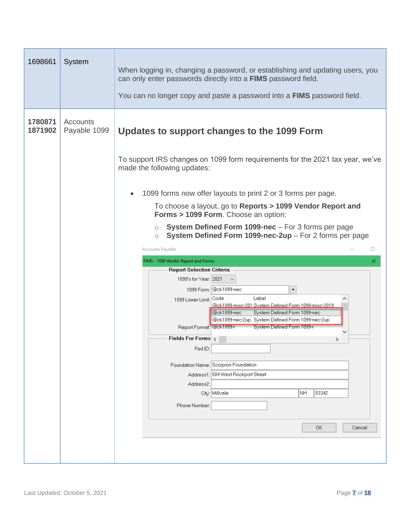| 1698661            | System                   | When logging in, changing a password, or establishing and updating users, you<br>can only enter passwords directly into a FIMS password field.<br>You can no longer copy and paste a password into a <b>FIMS</b> password field. |  |  |  |  |
|--------------------|--------------------------|----------------------------------------------------------------------------------------------------------------------------------------------------------------------------------------------------------------------------------|--|--|--|--|
| 1780871<br>1871902 | Accounts<br>Payable 1099 | Updates to support changes to the 1099 Form                                                                                                                                                                                      |  |  |  |  |
|                    |                          | To support IRS changes on 1099 form requirements for the 2021 tax year, we've<br>made the following updates:                                                                                                                     |  |  |  |  |
|                    |                          | 1099 forms now offer layouts to print 2 or 3 forms per page.                                                                                                                                                                     |  |  |  |  |
|                    |                          | To choose a layout, go to Reports > 1099 Vendor Report and<br>Forms > 1099 Form. Choose an option:                                                                                                                               |  |  |  |  |
|                    |                          | System Defined Form 1099-nec - For 3 forms per page<br>$\circ$                                                                                                                                                                   |  |  |  |  |
|                    |                          | System Defined Form 1099-nec-2up - For 2 forms per page<br>$\circ$<br>□                                                                                                                                                          |  |  |  |  |
|                    |                          | Accounts Payable<br>FIMS - 1099 Vendor Report and Forms                                                                                                                                                                          |  |  |  |  |
|                    |                          | ×<br><b>Report Selection Criteria</b>                                                                                                                                                                                            |  |  |  |  |
|                    |                          | 1099's for Year: 2021                                                                                                                                                                                                            |  |  |  |  |
|                    |                          | 1099 Form: @ck1099-nec<br>$\overline{\phantom{a}}$                                                                                                                                                                               |  |  |  |  |
|                    |                          | Label<br>1099 Lower Limit: Code<br><u>@ck1099-misc-201 System Defined Form 1099-misc-2019</u>                                                                                                                                    |  |  |  |  |
|                    |                          | @ck1099-nec<br>System Defined Form 1099-nec<br>@ck1099-nec-2up System Defined Form 1099-nec-2up                                                                                                                                  |  |  |  |  |
|                    |                          | System Defined Form 1099-r<br>Report Format: @ck1099-r                                                                                                                                                                           |  |  |  |  |
|                    |                          | Fields For Forms $\langle$<br>⋗<br>Fed ID:                                                                                                                                                                                       |  |  |  |  |
|                    |                          |                                                                                                                                                                                                                                  |  |  |  |  |
|                    |                          | Foundation Name: Scorpion Foundation                                                                                                                                                                                             |  |  |  |  |
|                    |                          | Address1: 504 West Rockport Street<br>Address2:                                                                                                                                                                                  |  |  |  |  |
|                    |                          | City: Millvale<br> NH<br>03342                                                                                                                                                                                                   |  |  |  |  |
|                    |                          | Phone Number:                                                                                                                                                                                                                    |  |  |  |  |
|                    |                          | OK.<br>Cancel                                                                                                                                                                                                                    |  |  |  |  |
|                    |                          |                                                                                                                                                                                                                                  |  |  |  |  |
|                    |                          |                                                                                                                                                                                                                                  |  |  |  |  |
|                    |                          |                                                                                                                                                                                                                                  |  |  |  |  |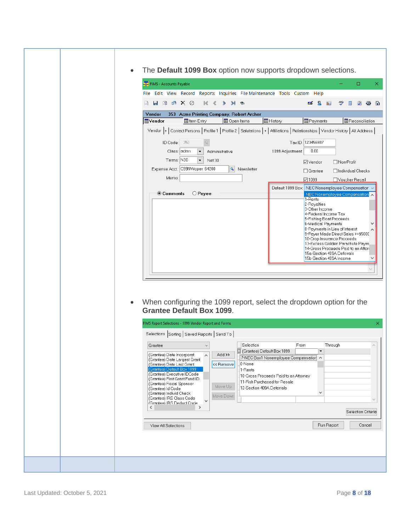| The Default 1099 Box option now supports dropdown selections.<br>٠                                                                                                                                                                                                                                                                                                                                                                                                                                                                                                                                                                                                                                                                                                                                            |  |  |  |
|---------------------------------------------------------------------------------------------------------------------------------------------------------------------------------------------------------------------------------------------------------------------------------------------------------------------------------------------------------------------------------------------------------------------------------------------------------------------------------------------------------------------------------------------------------------------------------------------------------------------------------------------------------------------------------------------------------------------------------------------------------------------------------------------------------------|--|--|--|
| $\Box$<br>FIMS - Accounts Payable<br>×.                                                                                                                                                                                                                                                                                                                                                                                                                                                                                                                                                                                                                                                                                                                                                                       |  |  |  |
| File Edit View Record Reports Inquiries File Maintenance Tools Custom Help                                                                                                                                                                                                                                                                                                                                                                                                                                                                                                                                                                                                                                                                                                                                    |  |  |  |
| $\circledast$ $\times$ $\circledcirc$<br>ы<br>$\Box$<br>ĸ.<br>$\blacktriangleright$<br>s<br>H<br>≫<br>$\mathbf{C}$<br>$\sim$<br>$8 =$                                                                                                                                                                                                                                                                                                                                                                                                                                                                                                                                                                                                                                                                         |  |  |  |
| Vendor<br>353 Acme Printing Company, Robert Archer<br><b>III</b> History<br><b>Reconciliation</b><br><b>EE</b> Item Entry<br><b>ED</b> Open Items<br><b>B</b> Payments<br><b>M</b> Vendor<br>Vendor  +   Contact Persons   Profile 1   Profile 2   Salutations  +   Affiliations   Relationships   Vendor History   Alt Address<br>Tax ID: 123456987<br>ID Code: 353<br>0.00<br>Class: admn<br>1099 Adjustment:<br>Administrative<br>Terms: N30<br>Net 30<br>⊠∨endor<br>□ Non-Profit<br>Expense Acct.: C99NWoper 64200<br><b>&amp;</b> Newsletter<br>$\Box$ Grantee<br>□ Individual Checks<br>Memo:<br>☑1099<br>Voucher Recall<br>Default 1099 Box: NEC Nonemployee Compensation<br>◉ Comments<br>O Payee<br>NEC Nonemployee Compensation<br>1-Rents<br>2-Royalties<br>3-Other Income<br>4-Federal Income Tax |  |  |  |
| 5-Fishing Boat Proceeds<br>6-Medical Payments<br>8-Payments in Lieu of Interest<br>9-Payer Made Direct Sales >=\$5000<br>10-Crop Insurance Proceeds<br>13-Excess Golden Parachute Paym<br>14-Gross Proceeds Paid to an Attori<br>15a-Section 409A Deferrals<br>15b-Section 409A Income<br>When configuring the 1099 report, select the dropdown option for the<br>$\bullet$<br><b>Grantee Default Box 1099.</b>                                                                                                                                                                                                                                                                                                                                                                                               |  |  |  |
| FIMS Report Selections - 1099 Vendor Report and Forms<br>×                                                                                                                                                                                                                                                                                                                                                                                                                                                                                                                                                                                                                                                                                                                                                    |  |  |  |
| Selections Sorting Saved Reports Send To                                                                                                                                                                                                                                                                                                                                                                                                                                                                                                                                                                                                                                                                                                                                                                      |  |  |  |
| Selection<br>Through<br>Grantee<br>From<br>(Grantee) Default Box 1099<br>$\blacktriangledown$<br>(Grantee) Date Incorporat<br>Add >><br>$\land$<br>7-NEC Box1 Nonemployee Compensation ^<br>(Grantee) Date Largest Grant<br>0-None<br>(Grantee) Date Last Grant<br><< Remove<br>(Grantee) Default Box 1099<br>1-Rents<br>(Grantee) Executive IDCode<br>10-Gross Proceeds Paid to an Attorney<br>(Grantee) First Grant Fund ID<br>11-Fish Purchased for Resale<br>(Grantee) Fiscal Sponsor<br>Move Up<br>12-Section 409A Deferrals<br>(Grantee) Id Code<br>$\checkmark$<br>(Grantee) Individ Check<br>Move Down<br>(Grantee) IRS Class Code<br>$\sim$<br>(Grantee) IRS Deduct Code<br>$\rightarrow$<br>$\langle$<br>Selection Criteria<br>Run Report<br>Cancel<br>View All Selections                          |  |  |  |
|                                                                                                                                                                                                                                                                                                                                                                                                                                                                                                                                                                                                                                                                                                                                                                                                               |  |  |  |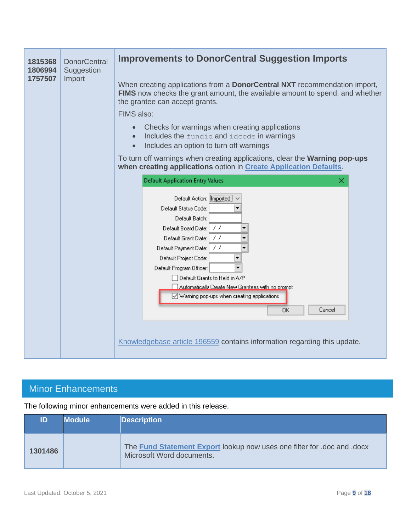| 1815368<br>1806994 | <b>DonorCentral</b><br>Suggestion | <b>Improvements to DonorCentral Suggestion Imports</b>                                                                                                                                             |  |  |  |  |  |
|--------------------|-----------------------------------|----------------------------------------------------------------------------------------------------------------------------------------------------------------------------------------------------|--|--|--|--|--|
| 1757507            | Import                            | When creating applications from a <b>DonorCentral NXT</b> recommendation import,<br>FIMS now checks the grant amount, the available amount to spend, and whether<br>the grantee can accept grants. |  |  |  |  |  |
|                    |                                   | FIMS also:                                                                                                                                                                                         |  |  |  |  |  |
|                    |                                   | Checks for warnings when creating applications<br>Includes the fundid and idcode in warnings<br>$\bullet$<br>Includes an option to turn off warnings<br>$\bullet$                                  |  |  |  |  |  |
|                    |                                   | To turn off warnings when creating applications, clear the Warning pop-ups<br>when creating applications option in Create Application Defaults.                                                    |  |  |  |  |  |
|                    |                                   | <b>Default Application Entry Values</b><br>×                                                                                                                                                       |  |  |  |  |  |
|                    |                                   | Default Action: Imported                                                                                                                                                                           |  |  |  |  |  |
|                    |                                   | Default Status Code:<br>Default Batch:                                                                                                                                                             |  |  |  |  |  |
|                    |                                   | 77<br>Default Board Date:                                                                                                                                                                          |  |  |  |  |  |
|                    |                                   | 77<br>Default Grant Date:                                                                                                                                                                          |  |  |  |  |  |
|                    |                                   | 77<br>Default Payment Date:                                                                                                                                                                        |  |  |  |  |  |
|                    |                                   | Default Project Code:                                                                                                                                                                              |  |  |  |  |  |
|                    |                                   | Default Program Officer:                                                                                                                                                                           |  |  |  |  |  |
|                    |                                   | $\exists$ Default Grants to Held in A/P<br>Automatically Create New Grantees with no prompt                                                                                                        |  |  |  |  |  |
|                    |                                   | V Warning pop-ups when creating applications                                                                                                                                                       |  |  |  |  |  |
|                    |                                   | Cancel<br>OΚ                                                                                                                                                                                       |  |  |  |  |  |
|                    |                                   |                                                                                                                                                                                                    |  |  |  |  |  |
|                    |                                   |                                                                                                                                                                                                    |  |  |  |  |  |
|                    |                                   | Knowledgebase article 196559 contains information regarding this update.                                                                                                                           |  |  |  |  |  |
|                    |                                   |                                                                                                                                                                                                    |  |  |  |  |  |

## <span id="page-8-0"></span>Minor Enhancements

The following minor enhancements were added in this release.

| ID      | <b>Module</b> | <b>Description</b>                                                                                   |
|---------|---------------|------------------------------------------------------------------------------------------------------|
| 1301486 |               | The Fund Statement Export lookup now uses one filter for .doc and .docx<br>Microsoft Word documents. |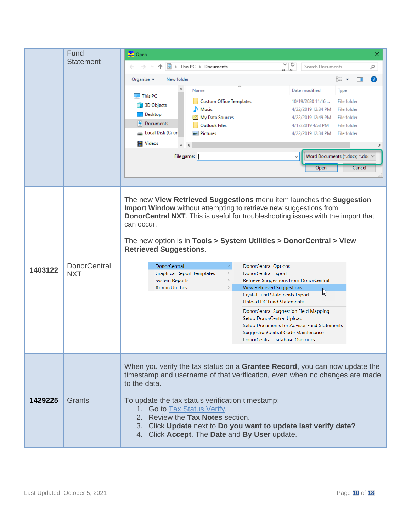|         | Fund                              | 要 Open<br>×                                                                                                                                                                                                                                                                                                                                                                                                                                                                                                                                                                                                                                                                                                                                                                                                                                                                                                                     |  |  |
|---------|-----------------------------------|---------------------------------------------------------------------------------------------------------------------------------------------------------------------------------------------------------------------------------------------------------------------------------------------------------------------------------------------------------------------------------------------------------------------------------------------------------------------------------------------------------------------------------------------------------------------------------------------------------------------------------------------------------------------------------------------------------------------------------------------------------------------------------------------------------------------------------------------------------------------------------------------------------------------------------|--|--|
|         | <b>Statement</b>                  | ∨ C<br>■ > This PC > Documents<br>Search Documents<br>مر<br>$c - c$                                                                                                                                                                                                                                                                                                                                                                                                                                                                                                                                                                                                                                                                                                                                                                                                                                                             |  |  |
|         |                                   | 脂: ▼<br>ℯ<br>New folder<br>Organize $\blacktriangleright$<br>m                                                                                                                                                                                                                                                                                                                                                                                                                                                                                                                                                                                                                                                                                                                                                                                                                                                                  |  |  |
|         |                                   | Date modified<br>Name<br>Type<br>$\blacksquare$ This PC<br><b>Custom Office Templates</b><br>File folder<br>10/19/2020 11:16<br>3D Objects<br>Music<br>4/22/2019 12:34 PM<br>File folder<br>Desktop<br><b>Ball</b> My Data Sources<br>4/22/2019 12:49 PM<br>File folder<br>Documents<br><b>Outlook Files</b><br>4/17/2019 4:53 PM<br>File folder<br>Local Disk (C: or<br>Pictures<br>4/22/2019 12:34 PM File folder<br><b>W</b> Videos<br>⋗<br>File name:<br>Word Documents (*.docx; *.doc $\vee$                                                                                                                                                                                                                                                                                                                                                                                                                               |  |  |
|         |                                   | Cancel<br>$O$ pen                                                                                                                                                                                                                                                                                                                                                                                                                                                                                                                                                                                                                                                                                                                                                                                                                                                                                                               |  |  |
| 1403122 | <b>DonorCentral</b><br><b>NXT</b> | The new View Retrieved Suggestions menu item launches the Suggestion<br>Import Window without attempting to retrieve new suggestions from<br><b>DonorCentral NXT</b> . This is useful for troubleshooting issues with the import that<br>can occur.<br>The new option is in Tools > System Utilities > DonorCentral > View<br><b>Retrieved Suggestions.</b><br>$\,$<br><b>DonorCentral</b><br><b>DonorCentral Options</b><br>$\,$<br><b>DonorCentral Export</b><br><b>Graphical Report Templates</b><br>$\,$<br><b>System Reports</b><br>Retrieve Suggestions from DonorCentral<br>$\,$<br><b>Admin Utilities</b><br>View Retrieved Suggestions<br>☆<br><b>Crystal Fund Statements Export</b><br><b>Upload DC Fund Statements</b><br>DonorCentral Suggestion Field Mapping<br>Setup DonorCentral Upload<br>Setup Documents for Advisor Fund Statements<br>SuggestionCentral Code Maintenance<br>DonorCentral Database Overrides |  |  |
| 1429225 | Grants                            | When you verify the tax status on a Grantee Record, you can now update the<br>timestamp and username of that verification, even when no changes are made<br>to the data.<br>To update the tax status verification timestamp:<br>1. Go to Tax Status Verify,<br>2. Review the Tax Notes section.<br>3. Click Update next to Do you want to update last verify date?<br>4. Click Accept. The Date and By User update.                                                                                                                                                                                                                                                                                                                                                                                                                                                                                                             |  |  |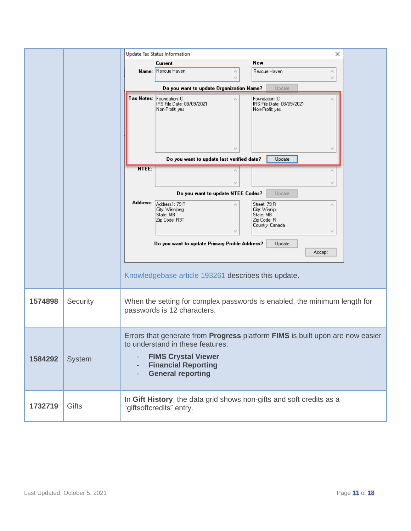|         |          |                             | Update Tax Status Information                                            | ×                                                                             |  |
|---------|----------|-----------------------------|--------------------------------------------------------------------------|-------------------------------------------------------------------------------|--|
|         |          |                             | Current                                                                  | New                                                                           |  |
|         |          | Name:                       | Rescue Haven<br>۸                                                        | Rescue Haven<br>Α                                                             |  |
|         |          |                             |                                                                          | v                                                                             |  |
|         |          |                             | Do you want to update Organization Name?                                 | Update                                                                        |  |
|         |          |                             | Tax Notes: Foundation: C<br>IRS File Date: 08/09/2021<br>Non-Profit: yes | Foundation: C<br>IRS File Date: 08/09/2021<br>Non-Profit: yes                 |  |
|         |          |                             |                                                                          |                                                                               |  |
|         |          |                             | Do you want to update last verified date?                                | Update                                                                        |  |
|         |          | NTEE:                       |                                                                          |                                                                               |  |
|         |          |                             |                                                                          |                                                                               |  |
|         |          |                             | Do you want to update NTEE Codes?                                        | Update                                                                        |  |
|         |          | Address:                    |                                                                          |                                                                               |  |
|         |          |                             | Address1: 79 R<br>City: Winnipeg                                         | Street: 79 R<br>City: Winnipr                                                 |  |
|         |          |                             | State: MB<br>Zip Code: R3T                                               | State: MB<br>Zip Code: R                                                      |  |
|         |          |                             |                                                                          | Country: Canada<br>v                                                          |  |
|         |          |                             |                                                                          |                                                                               |  |
|         |          |                             | Do you want to update Primary Profile Address?                           | Update                                                                        |  |
|         |          |                             |                                                                          | Accept                                                                        |  |
|         |          |                             |                                                                          |                                                                               |  |
|         |          |                             | Knowledgebase article 193261 describes this update.                      |                                                                               |  |
|         |          |                             |                                                                          |                                                                               |  |
| 1574898 | Security |                             |                                                                          | When the setting for complex passwords is enabled, the minimum length for     |  |
|         |          | passwords is 12 characters. |                                                                          |                                                                               |  |
|         |          |                             |                                                                          | Errors that generate from Progress platform FIMS is built upon are now easier |  |
|         |          |                             | to understand in these features:                                         |                                                                               |  |
|         |          |                             |                                                                          |                                                                               |  |
| 1584292 | System   | $\overline{\phantom{a}}$    | <b>FIMS Crystal Viewer</b><br><b>Financial Reporting</b>                 |                                                                               |  |
|         |          |                             | <b>General reporting</b>                                                 |                                                                               |  |
|         |          |                             |                                                                          |                                                                               |  |
|         |          |                             |                                                                          | In Gift History, the data grid shows non-gifts and soft credits as a          |  |
| 1732719 | Gifts    |                             | "giftsoftcredits" entry.                                                 |                                                                               |  |
|         |          |                             |                                                                          |                                                                               |  |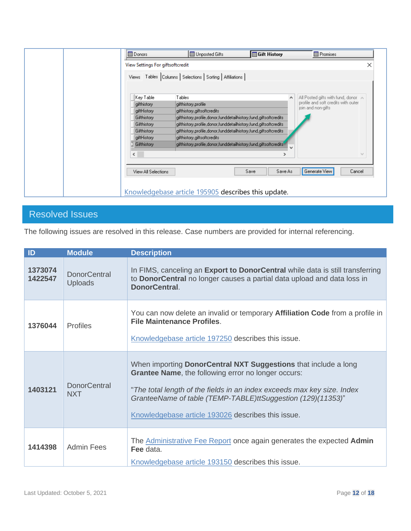| <b>Donors</b>                    | Unposted Gifts                                                   | <b>B</b> Gift History | <b>ED</b> Promises                  |
|----------------------------------|------------------------------------------------------------------|-----------------------|-------------------------------------|
| View Settings For giftsoftcredit |                                                                  |                       | ×                                   |
|                                  | Views Tables Columns   Selections   Sorting   Affiliations       |                       |                                     |
| Key Table                        | Tables                                                           |                       | All Posted gifts with fund, donor A |
| gifthistory                      | gifthistory, profile                                             |                       | profile and soft credits with outer |
| giftHistory                      | gifthistory,giftsoftcredits                                      |                       | join and non-gifts                  |
| Gifthistory                      | gifthistory.profile.donor.funddetailhistory.fund.giftsoftcredits |                       |                                     |
| Gifthistory                      | gifthistory.profile.donor.funddetailhistory.fund.giftsoftcredits |                       |                                     |
| Gifthistory                      | gifthistory.profile.donor.funddetailhistory.fund.giftsoftcredits |                       |                                     |
| giftHistory                      | gifthistory,giftsoftcredits                                      |                       |                                     |
| Gifthistory                      | gifthistory.profile.donor.funddetailhistory.fund.giftsoftcredits | w                     |                                     |
| $\langle$                        |                                                                  | $\rightarrow$         | $\mathcal{M}$                       |
| View All Selections              |                                                                  | Save As<br>Save       | Generate View<br>Cancel             |
|                                  | Knowledgebase article 195905 describes this update.              |                       |                                     |

## <span id="page-11-0"></span>Resolved Issues

The following issues are resolved in this release. Case numbers are provided for internal referencing.

| ID                 | <b>Module</b>                     | <b>Description</b>                                                                                                                                                                                                                                                                                                            |
|--------------------|-----------------------------------|-------------------------------------------------------------------------------------------------------------------------------------------------------------------------------------------------------------------------------------------------------------------------------------------------------------------------------|
| 1373074<br>1422547 | <b>DonorCentral</b><br>Uploads    | In FIMS, canceling an <b>Export to DonorCentral</b> while data is still transferring<br>to <b>DonorCentral</b> no longer causes a partial data upload and data loss in<br>DonorCentral.                                                                                                                                       |
| 1376044            | <b>Profiles</b>                   | You can now delete an invalid or temporary Affiliation Code from a profile in<br><b>File Maintenance Profiles.</b><br>Knowledgebase article 197250 describes this issue.                                                                                                                                                      |
| 1403121            | <b>DonorCentral</b><br><b>NXT</b> | When importing DonorCentral NXT Suggestions that include a long<br><b>Grantee Name, the following error no longer occurs:</b><br>"The total length of the fields in an index exceeds max key size. Index<br>GranteeName of table (TEMP-TABLE)ttSuggestion (129)(11353)"<br>Knowledgebase article 193026 describes this issue. |
| 1414398            | <b>Admin Fees</b>                 | The Administrative Fee Report once again generates the expected Admin<br>Fee data.<br>Knowledgebase article 193150 describes this issue.                                                                                                                                                                                      |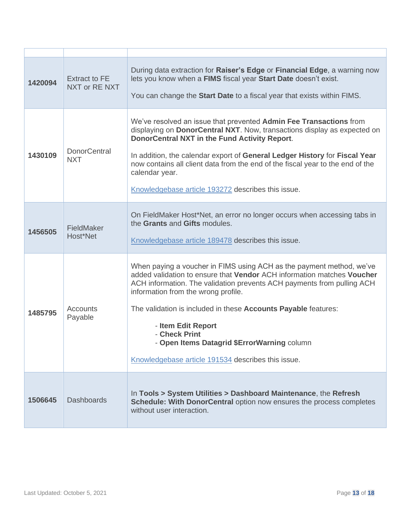| 1420094 | <b>Extract to FE</b><br>NXT or RE NXT | During data extraction for Raiser's Edge or Financial Edge, a warning now<br>lets you know when a FIMS fiscal year Start Date doesn't exist.<br>You can change the Start Date to a fiscal year that exists within FIMS.                                                                                                                                                                                                                                                       |
|---------|---------------------------------------|-------------------------------------------------------------------------------------------------------------------------------------------------------------------------------------------------------------------------------------------------------------------------------------------------------------------------------------------------------------------------------------------------------------------------------------------------------------------------------|
| 1430109 | <b>DonorCentral</b><br><b>NXT</b>     | We've resolved an issue that prevented Admin Fee Transactions from<br>displaying on DonorCentral NXT. Now, transactions display as expected on<br>DonorCentral NXT in the Fund Activity Report.<br>In addition, the calendar export of General Ledger History for Fiscal Year<br>now contains all client data from the end of the fiscal year to the end of the<br>calendar year.<br>Knowledgebase article 193272 describes this issue.                                       |
| 1456505 | FieldMaker<br>Host*Net                | On FieldMaker Host*Net, an error no longer occurs when accessing tabs in<br>the Grants and Gifts modules.<br>Knowledgebase article 189478 describes this issue.                                                                                                                                                                                                                                                                                                               |
| 1485795 | Accounts<br>Payable                   | When paying a voucher in FIMS using ACH as the payment method, we've<br>added validation to ensure that Vendor ACH information matches Voucher<br>ACH information. The validation prevents ACH payments from pulling ACH<br>information from the wrong profile.<br>The validation is included in these Accounts Payable features:<br>- Item Edit Report<br>- Check Print<br>- Open Items Datagrid \$ErrorWarning column<br>Knowledgebase article 191534 describes this issue. |
| 1506645 | <b>Dashboards</b>                     | In Tools > System Utilities > Dashboard Maintenance, the Refresh<br>Schedule: With DonorCentral option now ensures the process completes<br>without user interaction.                                                                                                                                                                                                                                                                                                         |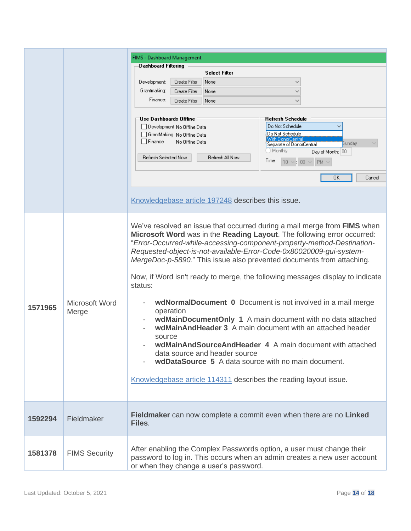|         |                      | FIMS - Dashboard Management                                                    |
|---------|----------------------|--------------------------------------------------------------------------------|
|         |                      | <b>Dashboard Filtering</b>                                                     |
|         |                      | <b>Select Filter</b>                                                           |
|         |                      | Development:<br>Create Filter<br>None<br>$\checkmark$                          |
|         |                      | Grantmaking:<br>$\checkmark$<br>Create Filter<br>None                          |
|         |                      | Finance:<br>Create Filter<br>None                                              |
|         |                      |                                                                                |
|         |                      | 'Use Dashboards Offline<br>Refresh Schedule                                    |
|         |                      | Do Not Schedule<br>Development No Offline Data<br>Do Not Schedule              |
|         |                      | GrantMaking No Offline Data<br>With DonorCentral<br>Finance<br>No Offline Data |
|         |                      | Bunday<br>Separate of DonorCentral<br>Monthly                                  |
|         |                      | Day of Month: 00<br>Refresh Selected Now<br>Refresh All Now                    |
|         |                      | Time<br>$10 \vee : 00 \vee$<br>$PM ~\vee$                                      |
|         |                      | 0K<br>Cancel                                                                   |
|         |                      |                                                                                |
|         |                      | Knowledgebase article 197248 describes this issue.                             |
|         |                      |                                                                                |
|         |                      |                                                                                |
|         |                      | We've resolved an issue that occurred during a mail merge from FIMS when       |
|         |                      | Microsoft Word was in the Reading Layout. The following error occurred:        |
|         |                      | "Error-Occurred-while-accessing-component-property-method-Destination-         |
|         |                      | Requested-object-is-not-available-Error-Code-0x80020009-gui-system-            |
|         |                      | MergeDoc-p-5890." This issue also prevented documents from attaching.          |
|         |                      |                                                                                |
|         |                      | Now, if Word isn't ready to merge, the following messages display to indicate  |
|         |                      | status:                                                                        |
|         |                      |                                                                                |
| 1571965 | Microsoft Word       | wdNormalDocument 0 Document is not involved in a mail merge                    |
|         | Merge                | operation<br>wdMainDocumentOnly 1 A main document with no data attached        |
|         |                      | wdMainAndHeader 3 A main document with an attached header                      |
|         |                      | source                                                                         |
|         |                      | wdMainAndSourceAndHeader 4 A main document with attached                       |
|         |                      | data source and header source                                                  |
|         |                      | wdDataSource 5 A data source with no main document.                            |
|         |                      |                                                                                |
|         |                      | Knowledgebase article 114311 describes the reading layout issue.               |
|         |                      |                                                                                |
|         |                      |                                                                                |
|         |                      |                                                                                |
|         |                      | Fieldmaker can now complete a commit even when there are no Linked             |
| 1592294 | Fieldmaker           | Files.                                                                         |
|         |                      |                                                                                |
|         |                      |                                                                                |
| 1581378 | <b>FIMS Security</b> | After enabling the Complex Passwords option, a user must change their          |
|         |                      | password to log in. This occurs when an admin creates a new user account       |
|         |                      | or when they change a user's password.                                         |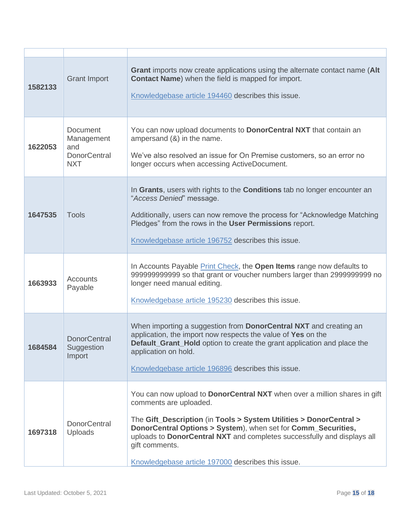| 1582133 | <b>Grant Import</b>                                                       | <b>Grant</b> imports now create applications using the alternate contact name (Alt<br>Contact Name) when the field is mapped for import.<br>Knowledgebase article 194460 describes this issue.                                                                                                                                                                                                |
|---------|---------------------------------------------------------------------------|-----------------------------------------------------------------------------------------------------------------------------------------------------------------------------------------------------------------------------------------------------------------------------------------------------------------------------------------------------------------------------------------------|
| 1622053 | <b>Document</b><br>Management<br>and<br><b>DonorCentral</b><br><b>NXT</b> | You can now upload documents to <b>DonorCentral NXT</b> that contain an<br>ampersand $(8)$ in the name.<br>We've also resolved an issue for On Premise customers, so an error no<br>longer occurs when accessing ActiveDocument.                                                                                                                                                              |
| 1647535 | <b>Tools</b>                                                              | In Grants, users with rights to the Conditions tab no longer encounter an<br>"Access Denied" message.<br>Additionally, users can now remove the process for "Acknowledge Matching<br>Pledges" from the rows in the User Permissions report.<br>Knowledgebase article 196752 describes this issue.                                                                                             |
| 1663933 | Accounts<br>Payable                                                       | In Accounts Payable <b>Print Check</b> , the <b>Open Items</b> range now defaults to<br>999999999999 so that grant or voucher numbers larger than 2999999999 no<br>longer need manual editing.<br>Knowledgebase article 195230 describes this issue.                                                                                                                                          |
| 1684584 | <b>DonorCentral</b><br>Suggestion<br>Import                               | When importing a suggestion from <b>DonorCentral NXT</b> and creating an<br>application, the import now respects the value of Yes on the<br><b>Default_Grant_Hold</b> option to create the grant application and place the<br>application on hold.<br>Knowledgebase article 196896 describes this issue.                                                                                      |
| 1697318 | <b>DonorCentral</b><br>Uploads                                            | You can now upload to DonorCentral NXT when over a million shares in gift<br>comments are uploaded.<br>The Gift_Description (in Tools > System Utilities > DonorCentral ><br>DonorCentral Options > System), when set for Comm_Securities,<br>uploads to DonorCentral NXT and completes successfully and displays all<br>gift comments.<br>Knowledgebase article 197000 describes this issue. |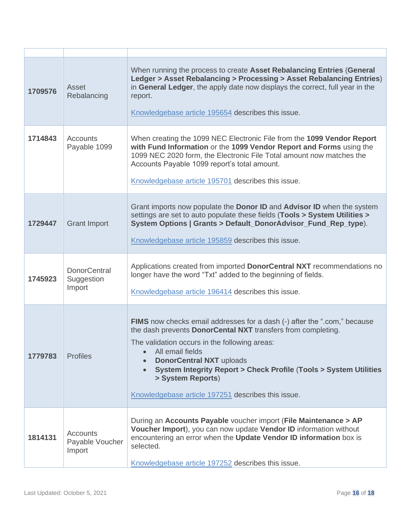| 1709576 | Asset<br>Rebalancing                         | When running the process to create Asset Rebalancing Entries (General<br>Ledger > Asset Rebalancing > Processing > Asset Rebalancing Entries)<br>in General Ledger, the apply date now displays the correct, full year in the<br>report.<br>Knowledgebase article 195654 describes this issue.                                                                                                                                    |
|---------|----------------------------------------------|-----------------------------------------------------------------------------------------------------------------------------------------------------------------------------------------------------------------------------------------------------------------------------------------------------------------------------------------------------------------------------------------------------------------------------------|
| 1714843 | <b>Accounts</b><br>Payable 1099              | When creating the 1099 NEC Electronic File from the 1099 Vendor Report<br>with Fund Information or the 1099 Vendor Report and Forms using the<br>1099 NEC 2020 form, the Electronic File Total amount now matches the<br>Accounts Payable 1099 report's total amount.<br>Knowledgebase article 195701 describes this issue.                                                                                                       |
| 1729447 | <b>Grant Import</b>                          | Grant imports now populate the <b>Donor ID</b> and <b>Advisor ID</b> when the system<br>settings are set to auto populate these fields (Tools > System Utilities ><br>System Options   Grants > Default_DonorAdvisor_Fund_Rep_type).<br>Knowledgebase article 195859 describes this issue.                                                                                                                                        |
| 1745923 | <b>DonorCentral</b><br>Suggestion<br>Import  | Applications created from imported DonorCentral NXT recommendations no<br>longer have the word "Txt" added to the beginning of fields.<br>Knowledgebase article 196414 describes this issue.                                                                                                                                                                                                                                      |
| 1779783 | <b>Profiles</b>                              | FIMS now checks email addresses for a dash (-) after the ".com," because<br>the dash prevents <b>DonorCental NXT</b> transfers from completing.<br>The validation occurs in the following areas:<br>All email fields<br><b>DonorCentral NXT uploads</b><br><b>System Integrity Report &gt; Check Profile (Tools &gt; System Utilities</b><br>$\bullet$<br>> System Reports)<br>Knowledgebase article 197251 describes this issue. |
| 1814131 | <b>Accounts</b><br>Payable Voucher<br>Import | During an Accounts Payable voucher import (File Maintenance > AP<br>Voucher Import), you can now update Vendor ID information without<br>encountering an error when the Update Vendor ID information box is<br>selected.<br>Knowledgebase article 197252 describes this issue.                                                                                                                                                    |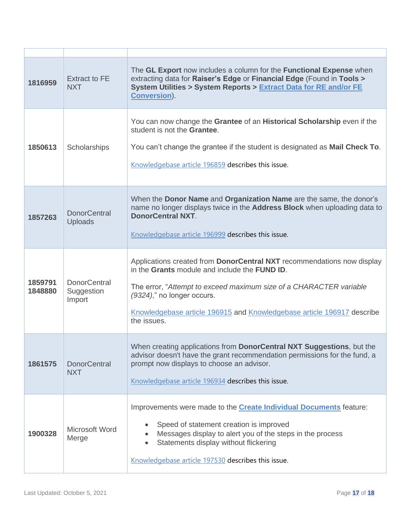| 1816959            | <b>Extract to FE</b><br><b>NXT</b>          | The GL Export now includes a column for the Functional Expense when<br>extracting data for Raiser's Edge or Financial Edge (Found in Tools ><br>System Utilities > System Reports > Extract Data for RE and/or FE<br><b>Conversion).</b>                                                                             |
|--------------------|---------------------------------------------|----------------------------------------------------------------------------------------------------------------------------------------------------------------------------------------------------------------------------------------------------------------------------------------------------------------------|
| 1850613            | Scholarships                                | You can now change the Grantee of an Historical Scholarship even if the<br>student is not the Grantee.<br>You can't change the grantee if the student is designated as Mail Check To.<br>Knowledgebase article 196859 describes this issue.                                                                          |
| 1857263            | <b>DonorCentral</b><br>Uploads              | When the Donor Name and Organization Name are the same, the donor's<br>name no longer displays twice in the Address Block when uploading data to<br><b>DonorCentral NXT.</b><br>Knowledgebase article 196999 describes this issue.                                                                                   |
| 1859791<br>1848880 | <b>DonorCentral</b><br>Suggestion<br>Import | Applications created from DonorCentral NXT recommendations now display<br>in the Grants module and include the FUND ID.<br>The error, "Attempt to exceed maximum size of a CHARACTER variable<br>(9324)," no longer occurs.<br>Knowledgebase article 196915 and Knowledgebase article 196917 describe<br>the issues. |
| 1861575            | <b>DonorCentral</b><br><b>NXT</b>           | When creating applications from DonorCentral NXT Suggestions, but the<br>advisor doesn't have the grant recommendation permissions for the fund, a<br>prompt now displays to choose an advisor.<br>Knowledgebase article 196934 describes this issue.                                                                |
| 1900328            | Microsoft Word<br>Merge                     | Improvements were made to the <b>Create Individual Documents</b> feature:<br>Speed of statement creation is improved<br>Messages display to alert you of the steps in the process<br>$\bullet$<br>Statements display without flickering<br>Knowledgebase article 197530 describes this issue.                        |